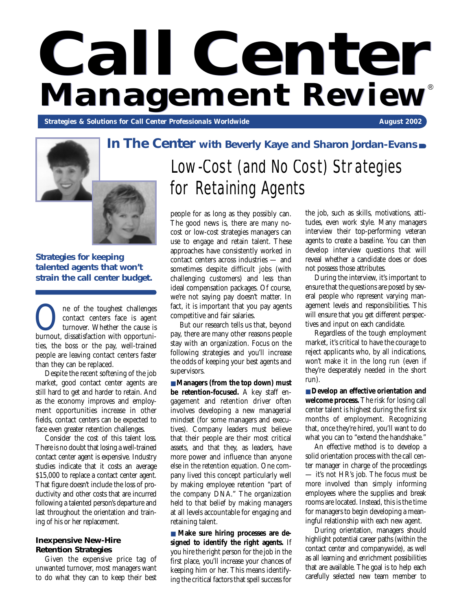# $Call$ **Center**<br>Management Review® **Management** *Review*

**Strategies & Solutions for Call Center Professionals Worldwide August 2002** August 2002



**Strategies for keeping talented agents that won't strain the call center budget.**

**OREC SERVIER CONFIDENT** contact centers face is agent turnover. Whether the cause is burnout, dissatisfaction with opportunicontact centers face is agent turnover. Whether the cause is ties, the boss or the pay, well-trained people are leaving contact centers faster than they can be replaced.

Despite the recent softening of the job market, good contact center agents are still hard to get and harder to retain. And as the economy improves and employment opportunities increase in other fields, contact centers can be expected to face even greater retention challenges.

Consider the cost of this talent loss. There is no doubt that losing a well-trained contact center agent is expensive. Industry studies indicate that it costs an average \$15,000 to replace a contact center agent. That figure doesn't include the loss of productivity and other costs that are incurred following a talented person's departure and last throughout the orientation and training of his or her replacement.

#### **Inexpensive New-Hire Retention Strategies**

Given the expensive price tag of unwanted turnover, most managers want to do what they can to keep their best

## Low-Cost (and No Cost) Strategies for Retaining Agents

people for as long as they possibly can. The good news is, there are many nocost or low-cost strategies managers can use to engage and retain talent. These approaches have consistently worked in contact centers across industries — and sometimes despite difficult jobs (with challenging customers) and less than ideal compensation packages. Of course, we're not saying pay doesn't matter. In fact, it is important that you pay agents competitive and fair salaries.

But our research tells us that, beyond pay, there are many other reasons people stay with an organization. Focus on the following strategies and you'll increase the odds of keeping your best agents and supervisors.

■ **Managers** (from the top down) must **be retention-focused.** A key staff engagement and retention driver often involves developing a new managerial mindset (for some managers and executives). Company leaders must believe that their people are their most critical assets, and that they, as leaders, have more power and influence than anyone else in the retention equation. One company lived this concept particularly well by making employee retention "part of the company DNA." The organization held to that belief by making managers at all levels accountable for engaging and retaining talent.

■ Make sure hiring processes are de**signed to identify the right agents.** If you hire the right person for the job in the first place, you'll increase your chances of keeping him or her. This means identifying the critical factors that spell success for

the job, such as skills, motivations, attitudes, even work style. Many managers interview their top-performing veteran agents to create a baseline. You can then develop interview questions that will reveal whether a candidate does or does not possess those attributes.

During the interview, it's important to ensure that the questions are posed by several people who represent varying management levels and responsibilities. This will ensure that you get different perspectives and input on each candidate.

Regardless of the tough employment market, it's critical to have the courage to reject applicants who, by all indications, won't make it in the long run (even if they're desperately needed in the short run).

■ **Develop an effective orientation and welcome process.** The risk for losing call center talent is highest during the first six months of employment. Recognizing that, once they're hired, you'll want to do what you can to "extend the handshake."

An effective method is to develop a solid orientation process with the call center manager in charge of the proceedings — it's not HR's job. The focus must be more involved than simply informing employees where the supplies and break rooms are located. Instead, this is the time for managers to begin developing a meaningful relationship with each new agent.

During orientation, managers should highlight potential career paths (within the contact center and companywide), as well as all learning and enrichment possibilities that are available. The goal is to help each carefully selected new team member to